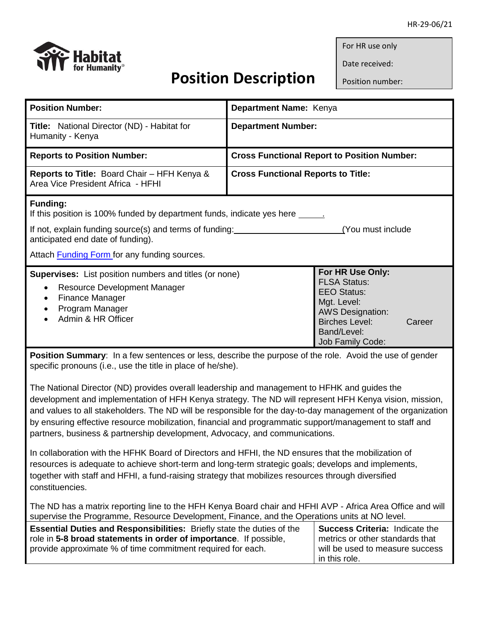

Date received:

Position number:

| <b>Position Number:</b>                                                                                                                                                                                                                                                                                                                                                                                                                                                                                          | Department Name: Kenya                                                                                                                                                               |  |  |  |
|------------------------------------------------------------------------------------------------------------------------------------------------------------------------------------------------------------------------------------------------------------------------------------------------------------------------------------------------------------------------------------------------------------------------------------------------------------------------------------------------------------------|--------------------------------------------------------------------------------------------------------------------------------------------------------------------------------------|--|--|--|
| <b>Title:</b> National Director (ND) - Habitat for<br>Humanity - Kenya                                                                                                                                                                                                                                                                                                                                                                                                                                           | <b>Department Number:</b>                                                                                                                                                            |  |  |  |
| <b>Reports to Position Number:</b>                                                                                                                                                                                                                                                                                                                                                                                                                                                                               | <b>Cross Functional Report to Position Number:</b>                                                                                                                                   |  |  |  |
| Reports to Title: Board Chair - HFH Kenya &<br>Area Vice President Africa - HFHI                                                                                                                                                                                                                                                                                                                                                                                                                                 | <b>Cross Functional Reports to Title:</b>                                                                                                                                            |  |  |  |
| <b>Funding:</b><br>If this position is 100% funded by department funds, indicate yes here ________<br>If not, explain funding source(s) and terms of funding:<br>(You must include<br>anticipated end date of funding).                                                                                                                                                                                                                                                                                          |                                                                                                                                                                                      |  |  |  |
| Attach <b>Funding Form</b> for any funding sources.                                                                                                                                                                                                                                                                                                                                                                                                                                                              |                                                                                                                                                                                      |  |  |  |
| <b>Supervises:</b> List position numbers and titles (or none)<br>Resource Development Manager<br>$\bullet$<br><b>Finance Manager</b><br>٠<br>Program Manager<br>Admin & HR Officer                                                                                                                                                                                                                                                                                                                               | For HR Use Only:<br><b>FLSA Status:</b><br><b>EEO Status:</b><br>Mgt. Level:<br><b>AWS Designation:</b><br><b>Birches Level:</b><br>Career<br>Band/Level:<br><b>Job Family Code:</b> |  |  |  |
| <b>Position Summary:</b> In a few sentences or less, describe the purpose of the role. Avoid the use of gender<br>specific pronouns (i.e., use the title in place of he/she).                                                                                                                                                                                                                                                                                                                                    |                                                                                                                                                                                      |  |  |  |
| The National Director (ND) provides overall leadership and management to HFHK and guides the<br>development and implementation of HFH Kenya strategy. The ND will represent HFH Kenya vision, mission,<br>and values to all stakeholders. The ND will be responsible for the day-to-day management of the organization<br>by ensuring effective resource mobilization, financial and programmatic support/management to staff and<br>partners, business & partnership development, Advocacy, and communications. |                                                                                                                                                                                      |  |  |  |
| In collaboration with the HFHK Board of Directors and HFHI, the ND ensures that the mobilization of<br>resources is adequate to achieve short-term and long-term strategic goals; develops and implements,<br>together with staff and HFHI, a fund-raising strategy that mobilizes resources through diversified<br>constituencies.                                                                                                                                                                              |                                                                                                                                                                                      |  |  |  |
| The ND has a matrix reporting line to the HFH Kenya Board chair and HFHI AVP - Africa Area Office and will<br>supervise the Programme, Resource Development, Finance, and the Operations units at NO level.                                                                                                                                                                                                                                                                                                      |                                                                                                                                                                                      |  |  |  |
| Essential Duties and Responsibilities: Briefly state the duties of the<br>role in 5-8 broad statements in order of importance. If possible,<br>provide approximate % of time commitment required for each.                                                                                                                                                                                                                                                                                                       | <b>Success Criteria: Indicate the</b><br>metrics or other standards that<br>will be used to measure success<br>in this role.                                                         |  |  |  |

 **Position Description**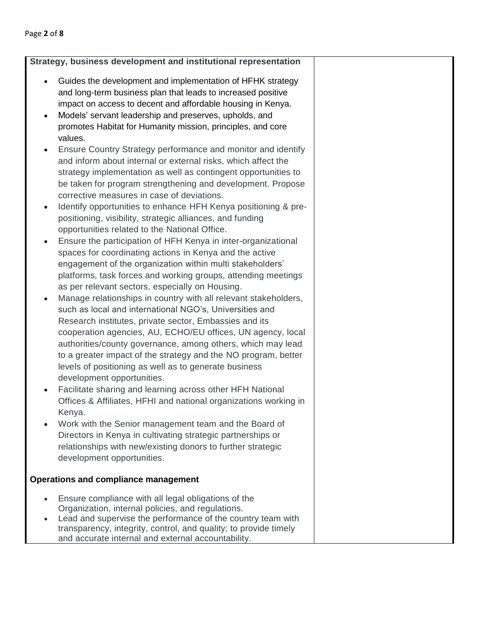| Strategy, business development and institutional representation                                                                                                                                                                                                                                                                                                                                                                                                                                                                                                                                                                                                                                                                                                                                                                                                                                                                                                                                                                                                                                                                                                                                                                                                                                                                                                                                                                                                                                                                                                                                                                                                                                                                                                                                                                                                                                                                                  |  |  |  |
|--------------------------------------------------------------------------------------------------------------------------------------------------------------------------------------------------------------------------------------------------------------------------------------------------------------------------------------------------------------------------------------------------------------------------------------------------------------------------------------------------------------------------------------------------------------------------------------------------------------------------------------------------------------------------------------------------------------------------------------------------------------------------------------------------------------------------------------------------------------------------------------------------------------------------------------------------------------------------------------------------------------------------------------------------------------------------------------------------------------------------------------------------------------------------------------------------------------------------------------------------------------------------------------------------------------------------------------------------------------------------------------------------------------------------------------------------------------------------------------------------------------------------------------------------------------------------------------------------------------------------------------------------------------------------------------------------------------------------------------------------------------------------------------------------------------------------------------------------------------------------------------------------------------------------------------------------|--|--|--|
| Guides the development and implementation of HFHK strategy<br>$\bullet$<br>and long-term business plan that leads to increased positive<br>impact on access to decent and affordable housing in Kenya.<br>Models' servant leadership and preserves, upholds, and<br>promotes Habitat for Humanity mission, principles, and core<br>values.<br>Ensure Country Strategy performance and monitor and identify<br>and inform about internal or external risks, which affect the<br>strategy implementation as well as contingent opportunities to<br>be taken for program strengthening and development. Propose<br>corrective measures in case of deviations.<br>Identify opportunities to enhance HFH Kenya positioning & pre-<br>$\bullet$<br>positioning, visibility, strategic alliances, and funding<br>opportunities related to the National Office.<br>Ensure the participation of HFH Kenya in inter-organizational<br>$\bullet$<br>spaces for coordinating actions in Kenya and the active<br>engagement of the organization within multi stakeholders'<br>platforms, task forces and working groups, attending meetings<br>as per relevant sectors, especially on Housing.<br>Manage relationships in country with all relevant stakeholders,<br>$\bullet$<br>such as local and international NGO's, Universities and<br>Research institutes, private sector, Embassies and its<br>cooperation agencies, AU, ECHO/EU offices, UN agency, local<br>authorities/county governance, among others, which may lead<br>to a greater impact of the strategy and the NO program, better<br>levels of positioning as well as to generate business<br>development opportunities.<br>Facilitate sharing and learning across other HFH National<br>Offices & Affiliates, HFHI and national organizations working in<br>Kenya.<br>Work with the Senior management team and the Board of<br>Directors in Kenya in cultivating strategic partnerships or |  |  |  |
| relationships with new/existing donors to further strategic<br>development opportunities.                                                                                                                                                                                                                                                                                                                                                                                                                                                                                                                                                                                                                                                                                                                                                                                                                                                                                                                                                                                                                                                                                                                                                                                                                                                                                                                                                                                                                                                                                                                                                                                                                                                                                                                                                                                                                                                        |  |  |  |
| <b>Operations and compliance management</b>                                                                                                                                                                                                                                                                                                                                                                                                                                                                                                                                                                                                                                                                                                                                                                                                                                                                                                                                                                                                                                                                                                                                                                                                                                                                                                                                                                                                                                                                                                                                                                                                                                                                                                                                                                                                                                                                                                      |  |  |  |
| Ensure compliance with all legal obligations of the<br>Organization, internal policies, and regulations.<br>Lead and supervise the performance of the country team with<br>transparency, integrity, control, and quality; to provide timely<br>and accurate internal and external accountability.                                                                                                                                                                                                                                                                                                                                                                                                                                                                                                                                                                                                                                                                                                                                                                                                                                                                                                                                                                                                                                                                                                                                                                                                                                                                                                                                                                                                                                                                                                                                                                                                                                                |  |  |  |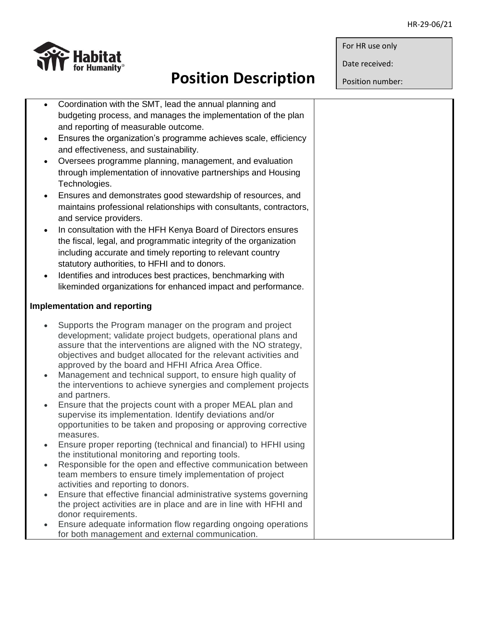

## **Position Description**

Date received:

Position number:

|           | Coordination with the SMT, lead the annual planning and                                                                         |  |
|-----------|---------------------------------------------------------------------------------------------------------------------------------|--|
|           | budgeting process, and manages the implementation of the plan                                                                   |  |
|           | and reporting of measurable outcome.                                                                                            |  |
| $\bullet$ | Ensures the organization's programme achieves scale, efficiency                                                                 |  |
|           | and effectiveness, and sustainability.                                                                                          |  |
| $\bullet$ | Oversees programme planning, management, and evaluation                                                                         |  |
|           | through implementation of innovative partnerships and Housing                                                                   |  |
|           | Technologies.                                                                                                                   |  |
| $\bullet$ | Ensures and demonstrates good stewardship of resources, and                                                                     |  |
|           | maintains professional relationships with consultants, contractors,                                                             |  |
|           | and service providers.                                                                                                          |  |
| $\bullet$ | In consultation with the HFH Kenya Board of Directors ensures                                                                   |  |
|           | the fiscal, legal, and programmatic integrity of the organization                                                               |  |
|           | including accurate and timely reporting to relevant country                                                                     |  |
|           | statutory authorities, to HFHI and to donors.                                                                                   |  |
| $\bullet$ | Identifies and introduces best practices, benchmarking with                                                                     |  |
|           | likeminded organizations for enhanced impact and performance.                                                                   |  |
|           |                                                                                                                                 |  |
|           | <b>Implementation and reporting</b>                                                                                             |  |
|           |                                                                                                                                 |  |
| $\bullet$ | Supports the Program manager on the program and project                                                                         |  |
|           | development; validate project budgets, operational plans and<br>assure that the interventions are aligned with the NO strategy, |  |
|           | objectives and budget allocated for the relevant activities and                                                                 |  |
|           | approved by the board and HFHI Africa Area Office.                                                                              |  |
|           | Management and technical support, to ensure high quality of                                                                     |  |
|           | the interventions to achieve synergies and complement projects                                                                  |  |
|           | and partners.                                                                                                                   |  |
| $\bullet$ | Ensure that the projects count with a proper MEAL plan and                                                                      |  |
|           | supervise its implementation. Identify deviations and/or                                                                        |  |
|           | opportunities to be taken and proposing or approving corrective<br>measures.                                                    |  |
|           | Ensure proper reporting (technical and financial) to HFHI using                                                                 |  |
|           | the institutional monitoring and reporting tools.                                                                               |  |
| $\bullet$ | Responsible for the open and effective communication between                                                                    |  |
|           | team members to ensure timely implementation of project                                                                         |  |
|           | activities and reporting to donors.                                                                                             |  |
| $\bullet$ | Ensure that effective financial administrative systems governing                                                                |  |
|           | the project activities are in place and are in line with HFHI and                                                               |  |
|           | donor requirements.                                                                                                             |  |
| $\bullet$ | Ensure adequate information flow regarding ongoing operations                                                                   |  |
|           | for both management and external communication.                                                                                 |  |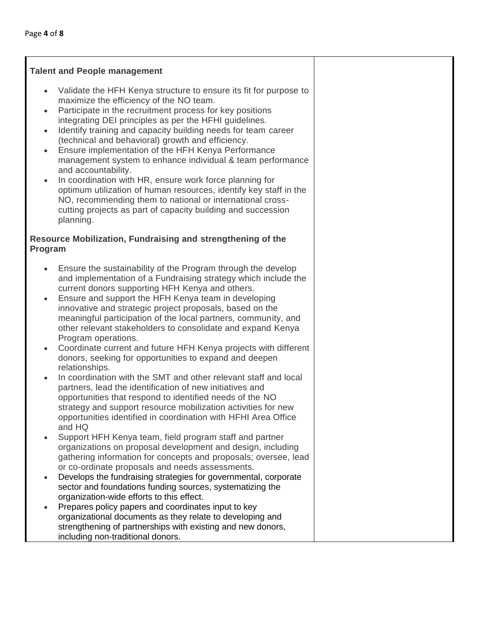#### **Talent and People management**

- Validate the HFH Kenya structure to ensure its fit for purpose to maximize the efficiency of the NO team.
- Participate in the recruitment process for key positions integrating DEI principles as per the HFHI guidelines.
- Identify training and capacity building needs for team career (technical and behavioral) growth and efficiency.
- Ensure implementation of the HFH Kenya Performance management system to enhance individual & team performance and accountability.
- In coordination with HR, ensure work force planning for optimum utilization of human resources, identify key staff in the NO, recommending them to national or international crosscutting projects as part of capacity building and succession planning.

### **Resource Mobilization, Fundraising and strengthening of the Program**

- Ensure the sustainability of the Program through the develop and implementation of a Fundraising strategy which include the current donors supporting HFH Kenya and others.
- Ensure and support the HFH Kenya team in developing innovative and strategic project proposals, based on the meaningful participation of the local partners, community, and other relevant stakeholders to consolidate and expand Kenya Program operations.
- Coordinate current and future HFH Kenya projects with different donors, seeking for opportunities to expand and deepen relationships.
- In coordination with the SMT and other relevant staff and local partners, lead the identification of new initiatives and opportunities that respond to identified needs of the NO strategy and support resource mobilization activities for new opportunities identified in coordination with HFHI Area Office and HQ
- Support HFH Kenya team, field program staff and partner organizations on proposal development and design, including gathering information for concepts and proposals; oversee, lead or co-ordinate proposals and needs assessments.
- Develops the fundraising strategies for governmental, corporate sector and foundations funding sources, systematizing the organization-wide efforts to this effect.
- Prepares policy papers and coordinates input to key organizational documents as they relate to developing and strengthening of partnerships with existing and new donors, including non-traditional donors.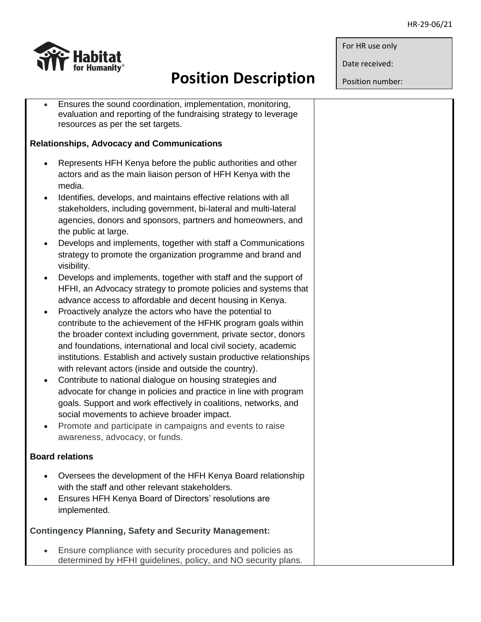Date received:

Position number:



# **Position Description**

- Ensures the sound coordination, implementation, monitoring, evaluation and reporting of the fundraising strategy to leverage resources as per the set targets. **Relationships, Advocacy and Communications**
	- Represents HFH Kenya before the public authorities and other actors and as the main liaison person of HFH Kenya with the media.
	- Identifies, develops, and maintains effective relations with all stakeholders, including government, bi-lateral and multi-lateral agencies, donors and sponsors, partners and homeowners, and the public at large.
	- Develops and implements, together with staff a Communications strategy to promote the organization programme and brand and visibility.
	- Develops and implements, together with staff and the support of HFHI, an Advocacy strategy to promote policies and systems that advance access to affordable and decent housing in Kenya.
	- Proactively analyze the actors who have the potential to contribute to the achievement of the HFHK program goals within the broader context including government, private sector, donors and foundations, international and local civil society, academic institutions. Establish and actively sustain productive relationships with relevant actors (inside and outside the country).
	- Contribute to national dialogue on housing strategies and advocate for change in policies and practice in line with program goals. Support and work effectively in coalitions, networks, and social movements to achieve broader impact.
	- Promote and participate in campaigns and events to raise awareness, advocacy, or funds.

## **Board relations**

- Oversees the development of the HFH Kenya Board relationship with the staff and other relevant stakeholders.
- Ensures HFH Kenya Board of Directors' resolutions are implemented.

### **Contingency Planning, Safety and Security Management:**

 Ensure compliance with security procedures and policies as determined by HFHI guidelines, policy, and NO security plans.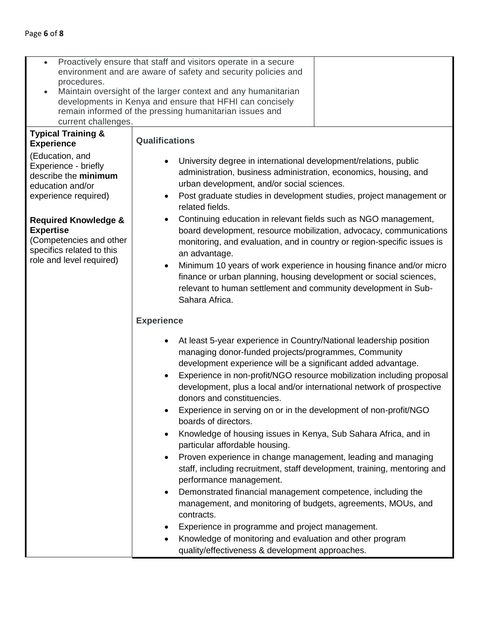| Proactively ensure that staff and visitors operate in a secure<br>$\bullet$<br>environment and are aware of safety and security policies and<br>procedures.<br>Maintain oversight of the larger context and any humanitarian<br>developments in Kenya and ensure that HFHI can concisely<br>remain informed of the pressing humanitarian issues and<br>current challenges. |                                                                                                                                                                                                                                                                                                                                                                                                                                                                                 |  |  |  |
|----------------------------------------------------------------------------------------------------------------------------------------------------------------------------------------------------------------------------------------------------------------------------------------------------------------------------------------------------------------------------|---------------------------------------------------------------------------------------------------------------------------------------------------------------------------------------------------------------------------------------------------------------------------------------------------------------------------------------------------------------------------------------------------------------------------------------------------------------------------------|--|--|--|
| <b>Typical Training &amp;</b><br><b>Experience</b>                                                                                                                                                                                                                                                                                                                         | <b>Qualifications</b>                                                                                                                                                                                                                                                                                                                                                                                                                                                           |  |  |  |
| (Education, and<br>Experience - briefly<br>describe the minimum<br>education and/or<br>experience required)                                                                                                                                                                                                                                                                | University degree in international development/relations, public<br>administration, business administration, economics, housing, and<br>urban development, and/or social sciences.<br>Post graduate studies in development studies, project management or<br>$\bullet$<br>related fields.                                                                                                                                                                                       |  |  |  |
| <b>Required Knowledge &amp;</b><br><b>Expertise</b><br>(Competencies and other<br>specifics related to this<br>role and level required)                                                                                                                                                                                                                                    | Continuing education in relevant fields such as NGO management,<br>board development, resource mobilization, advocacy, communications<br>monitoring, and evaluation, and in country or region-specific issues is<br>an advantage.<br>Minimum 10 years of work experience in housing finance and/or micro<br>$\bullet$<br>finance or urban planning, housing development or social sciences,<br>relevant to human settlement and community development in Sub-<br>Sahara Africa. |  |  |  |
|                                                                                                                                                                                                                                                                                                                                                                            | <b>Experience</b>                                                                                                                                                                                                                                                                                                                                                                                                                                                               |  |  |  |
|                                                                                                                                                                                                                                                                                                                                                                            | At least 5-year experience in Country/National leadership position<br>$\bullet$<br>managing donor-funded projects/programmes, Community<br>development experience will be a significant added advantage.<br>Experience in non-profit/NGO resource mobilization including proposal<br>$\bullet$<br>development, plus a local and/or international network of prospective<br>donors and constituencies.                                                                           |  |  |  |
| Experience in serving on or in the development of non-profit/NGO<br>boards of directors.                                                                                                                                                                                                                                                                                   |                                                                                                                                                                                                                                                                                                                                                                                                                                                                                 |  |  |  |
|                                                                                                                                                                                                                                                                                                                                                                            | Knowledge of housing issues in Kenya, Sub Sahara Africa, and in<br>$\bullet$<br>particular affordable housing.                                                                                                                                                                                                                                                                                                                                                                  |  |  |  |
|                                                                                                                                                                                                                                                                                                                                                                            | Proven experience in change management, leading and managing<br>$\bullet$<br>staff, including recruitment, staff development, training, mentoring and<br>performance management.                                                                                                                                                                                                                                                                                                |  |  |  |
|                                                                                                                                                                                                                                                                                                                                                                            | Demonstrated financial management competence, including the<br>$\bullet$<br>management, and monitoring of budgets, agreements, MOUs, and<br>contracts.                                                                                                                                                                                                                                                                                                                          |  |  |  |
|                                                                                                                                                                                                                                                                                                                                                                            | Experience in programme and project management.                                                                                                                                                                                                                                                                                                                                                                                                                                 |  |  |  |
|                                                                                                                                                                                                                                                                                                                                                                            | Knowledge of monitoring and evaluation and other program<br>quality/effectiveness & development approaches.                                                                                                                                                                                                                                                                                                                                                                     |  |  |  |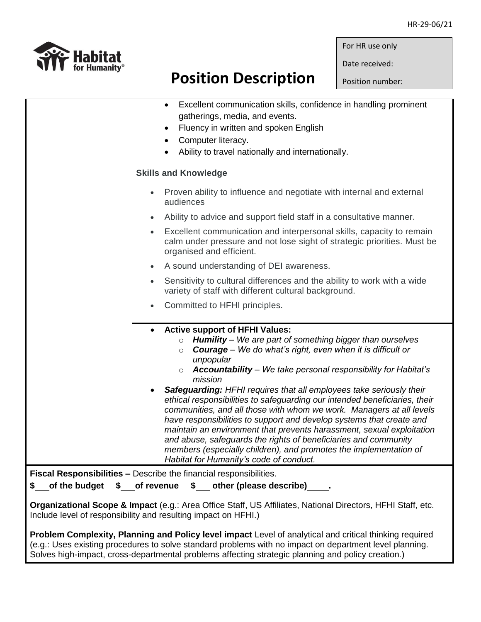Date received:

Position number:

|                                                                                                                        | Excellent communication skills, confidence in handling prominent<br>$\bullet$                                                                                                                                                                                                                                                                                                                                                                                                                                                                                                                                                                                                                                                                                                                                                                                 |  |  |  |
|------------------------------------------------------------------------------------------------------------------------|---------------------------------------------------------------------------------------------------------------------------------------------------------------------------------------------------------------------------------------------------------------------------------------------------------------------------------------------------------------------------------------------------------------------------------------------------------------------------------------------------------------------------------------------------------------------------------------------------------------------------------------------------------------------------------------------------------------------------------------------------------------------------------------------------------------------------------------------------------------|--|--|--|
|                                                                                                                        | gatherings, media, and events.<br>Fluency in written and spoken English<br>$\bullet$                                                                                                                                                                                                                                                                                                                                                                                                                                                                                                                                                                                                                                                                                                                                                                          |  |  |  |
|                                                                                                                        | Computer literacy.<br>$\bullet$                                                                                                                                                                                                                                                                                                                                                                                                                                                                                                                                                                                                                                                                                                                                                                                                                               |  |  |  |
|                                                                                                                        | Ability to travel nationally and internationally.<br>$\bullet$                                                                                                                                                                                                                                                                                                                                                                                                                                                                                                                                                                                                                                                                                                                                                                                                |  |  |  |
|                                                                                                                        |                                                                                                                                                                                                                                                                                                                                                                                                                                                                                                                                                                                                                                                                                                                                                                                                                                                               |  |  |  |
|                                                                                                                        | <b>Skills and Knowledge</b>                                                                                                                                                                                                                                                                                                                                                                                                                                                                                                                                                                                                                                                                                                                                                                                                                                   |  |  |  |
|                                                                                                                        | Proven ability to influence and negotiate with internal and external<br>$\bullet$<br>audiences                                                                                                                                                                                                                                                                                                                                                                                                                                                                                                                                                                                                                                                                                                                                                                |  |  |  |
|                                                                                                                        | Ability to advice and support field staff in a consultative manner.<br>$\bullet$                                                                                                                                                                                                                                                                                                                                                                                                                                                                                                                                                                                                                                                                                                                                                                              |  |  |  |
|                                                                                                                        | Excellent communication and interpersonal skills, capacity to remain<br>$\bullet$<br>calm under pressure and not lose sight of strategic priorities. Must be<br>organised and efficient.                                                                                                                                                                                                                                                                                                                                                                                                                                                                                                                                                                                                                                                                      |  |  |  |
|                                                                                                                        | A sound understanding of DEI awareness.                                                                                                                                                                                                                                                                                                                                                                                                                                                                                                                                                                                                                                                                                                                                                                                                                       |  |  |  |
|                                                                                                                        | Sensitivity to cultural differences and the ability to work with a wide<br>variety of staff with different cultural background.                                                                                                                                                                                                                                                                                                                                                                                                                                                                                                                                                                                                                                                                                                                               |  |  |  |
|                                                                                                                        | Committed to HFHI principles.                                                                                                                                                                                                                                                                                                                                                                                                                                                                                                                                                                                                                                                                                                                                                                                                                                 |  |  |  |
|                                                                                                                        | <b>Active support of HFHI Values:</b><br>$\circ$ Humility – We are part of something bigger than ourselves<br><b>Courage</b> – We do what's right, even when it is difficult or<br>$\circ$<br>unpopular<br>$\circ$ Accountability – We take personal responsibility for Habitat's<br>mission<br>Safeguarding: HFHI requires that all employees take seriously their<br>ethical responsibilities to safeguarding our intended beneficiaries, their<br>communities, and all those with whom we work. Managers at all levels<br>have responsibilities to support and develop systems that create and<br>maintain an environment that prevents harassment, sexual exploitation<br>and abuse, safeguards the rights of beneficiaries and community<br>members (especially children), and promotes the implementation of<br>Habitat for Humanity's code of conduct. |  |  |  |
| Fiscal Responsibilities - Describe the financial responsibilities.                                                     |                                                                                                                                                                                                                                                                                                                                                                                                                                                                                                                                                                                                                                                                                                                                                                                                                                                               |  |  |  |
| \$ of revenue \$ other (please describe)<br>\$ of the budget                                                           |                                                                                                                                                                                                                                                                                                                                                                                                                                                                                                                                                                                                                                                                                                                                                                                                                                                               |  |  |  |
| <b>CONTRACT A CHANGE OF A CHANGE AND ASSESSED AT A LIFTING OF A STATE OF A LIFTING OF A STATE OF A LIFTING OF A ST</b> |                                                                                                                                                                                                                                                                                                                                                                                                                                                                                                                                                                                                                                                                                                                                                                                                                                                               |  |  |  |

**Organizational Scope & Impact** (e.g.: Area Office Staff, US Affiliates, National Directors, HFHI Staff, etc. Include level of responsibility and resulting impact on HFHI.)

**Problem Complexity, Planning and Policy level impact** Level of analytical and critical thinking required (e.g.: Uses existing procedures to solve standard problems with no impact on department level planning. Solves high-impact, cross-departmental problems affecting strategic planning and policy creation.)



## **Position Description**